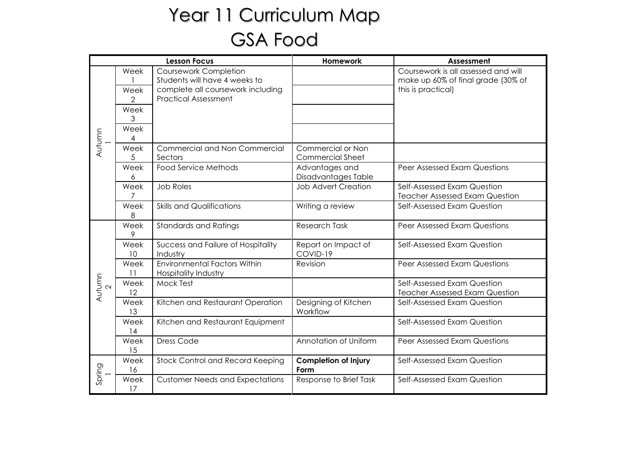## Year 11 Curriculum Map GSA Food

| <b>Lesson Focus</b> |                                |                                                                                                                                   | Homework                                     | Assessment                                                                                      |
|---------------------|--------------------------------|-----------------------------------------------------------------------------------------------------------------------------------|----------------------------------------------|-------------------------------------------------------------------------------------------------|
| Autumn              | Week<br>Week<br>$\overline{2}$ | <b>Coursework Completion</b><br>Students will have 4 weeks to<br>complete all coursework including<br><b>Practical Assessment</b> |                                              | Coursework is all assessed and will<br>make up 60% of final grade (30% of<br>this is practical) |
|                     | Week<br>3<br>Week<br>4         |                                                                                                                                   |                                              |                                                                                                 |
|                     | Week<br>5                      | Commercial and Non Commercial<br>Sectors                                                                                          | Commercial or Non<br><b>Commercial Sheet</b> |                                                                                                 |
|                     | Week<br>6                      | <b>Food Service Methods</b>                                                                                                       | Advantages and<br>Disadvantages Table        | Peer Assessed Exam Questions                                                                    |
|                     | Week<br>7                      | <b>Job Roles</b>                                                                                                                  | <b>Job Advert Creation</b>                   | Self-Assessed Exam Question<br><b>Teacher Assessed Exam Question</b>                            |
|                     | Week<br>8                      | <b>Skills and Qualifications</b>                                                                                                  | Writing a review                             | Self-Assessed Exam Question                                                                     |
| Autumn              | Week<br>9                      | <b>Standards and Ratings</b>                                                                                                      | <b>Research Task</b>                         | Peer Assessed Exam Questions                                                                    |
|                     | Week<br>10                     | Success and Failure of Hospitality<br>Industry                                                                                    | Report on Impact of<br>COVID-19              | Self-Assessed Exam Question                                                                     |
|                     | Week<br>11                     | <b>Environmental Factors Within</b><br><b>Hospitality Industry</b>                                                                | Revision                                     | Peer Assessed Exam Questions                                                                    |
|                     | Week<br>12                     | Mock Test                                                                                                                         |                                              | Self-Assessed Exam Question<br><b>Teacher Assessed Exam Question</b>                            |
|                     | Week<br>13                     | Kitchen and Restaurant Operation                                                                                                  | Designing of Kitchen<br>Workflow             | Self-Assessed Exam Question                                                                     |
|                     | Week<br>14                     | Kitchen and Restaurant Equipment                                                                                                  |                                              | Self-Assessed Exam Question                                                                     |
|                     | Week<br>15                     | <b>Dress Code</b>                                                                                                                 | Annotation of Uniform                        | Peer Assessed Exam Questions                                                                    |
| Spring              | Week<br>16                     | Stock Control and Record Keeping                                                                                                  | <b>Completion of Injury</b><br>Form          | Self-Assessed Exam Question                                                                     |
|                     | Week<br>17                     | <b>Customer Needs and Expectations</b>                                                                                            | Response to Brief Task                       | Self-Assessed Exam Question                                                                     |